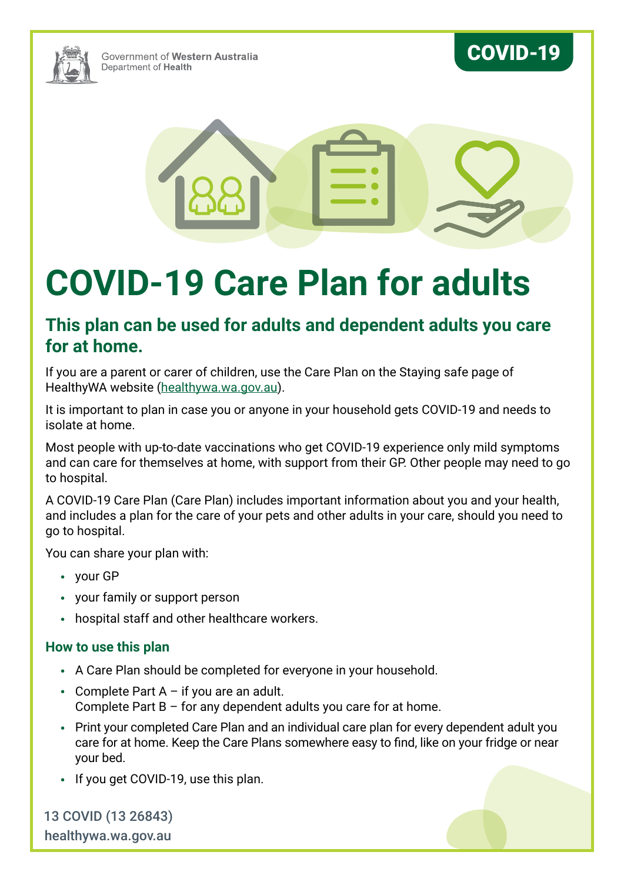

Government of Western Australia Department of Health

# COVID-19



# **COVID-19 Care Plan for adults**

## **This plan can be used for adults and dependent adults you care for at home.**

If you are a parent or carer of children, use the Care Plan on the Staying safe page of HealthyWA website ([healthywa.wa.gov.au\)](https://www.healthywa.wa.gov.au/Articles/A_E/Coronavirus/Managing-COVID19-at-home-and-in-the-community/Staying-safe).

It is important to plan in case you or anyone in your household gets COVID-19 and needs to isolate at home.

Most people with up-to-date vaccinations who get COVID-19 experience only mild symptoms and can care for themselves at home, with support from their GP. Other people may need to go to hospital.

A COVID-19 Care Plan (Care Plan) includes important information about you and your health, and includes a plan for the care of your pets and other adults in your care, should you need to go to hospital.

You can share your plan with:

- your GP
- your family or support person
- hospital staff and other healthcare workers.

#### **How to use this plan**

- A Care Plan should be completed for everyone in your household.
- Complete Part  $A if$  you are an adult. Complete Part B – for any dependent adults you care for at home.
- Print your completed Care Plan and an individual care plan for every dependent adult you care for at home. Keep the Care Plans somewhere easy to find, like on your fridge or near your bed.
- If you get COVID-19, use this plan.

13 COVID (13 26843) [healthywa.wa.gov.au](https://healthywa.wa.gov.au)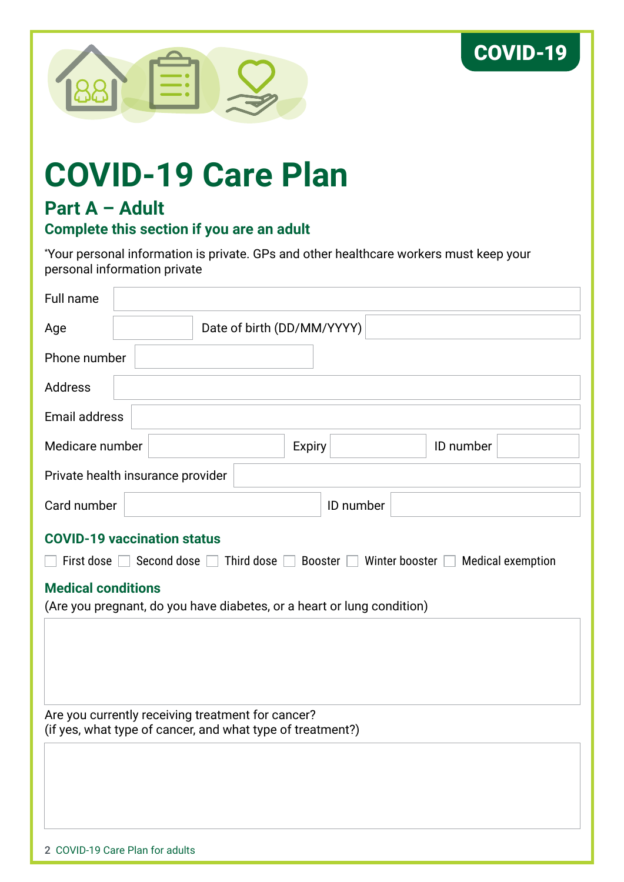



# **COVID-19 Care Plan**

# **Part A – Adult**

#### **Complete this section if you are an adult**

\* Your personal information is private. GPs and other healthcare workers must keep your personal information private

| Full name                                                                                                                                                                                                                                                                                |  |  |                            |           |           |  |
|------------------------------------------------------------------------------------------------------------------------------------------------------------------------------------------------------------------------------------------------------------------------------------------|--|--|----------------------------|-----------|-----------|--|
| Age                                                                                                                                                                                                                                                                                      |  |  | Date of birth (DD/MM/YYYY) |           |           |  |
| Phone number                                                                                                                                                                                                                                                                             |  |  |                            |           |           |  |
| Address                                                                                                                                                                                                                                                                                  |  |  |                            |           |           |  |
| Email address                                                                                                                                                                                                                                                                            |  |  |                            |           |           |  |
| Medicare number                                                                                                                                                                                                                                                                          |  |  | <b>Expiry</b>              |           | ID number |  |
| Private health insurance provider                                                                                                                                                                                                                                                        |  |  |                            |           |           |  |
| Card number                                                                                                                                                                                                                                                                              |  |  |                            | ID number |           |  |
| <b>COVID-19 vaccination status</b><br>First dose<br>$\Box$ Third dose $\Box$ Booster $\Box$ Winter booster $\Box$<br>$\sqsupset$ Second dose $\sqcap$<br><b>Medical exemption</b><br><b>Medical conditions</b><br>(Are you pregnant, do you have diabetes, or a heart or lung condition) |  |  |                            |           |           |  |
| Are you currently receiving treatment for cancer?<br>(if yes, what type of cancer, and what type of treatment?)                                                                                                                                                                          |  |  |                            |           |           |  |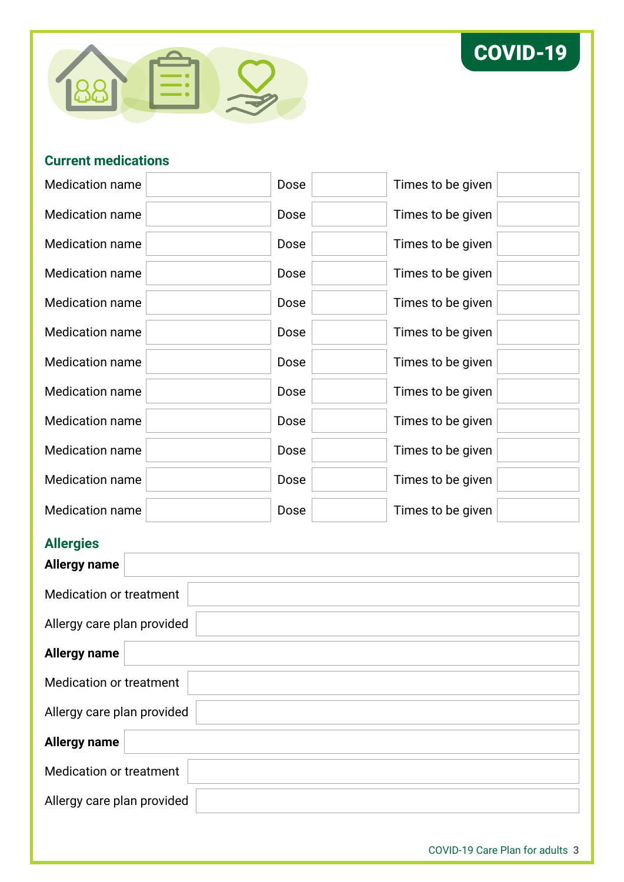



#### **Current medications**

| <b>Medication name</b> | Dose | Times to be given |
|------------------------|------|-------------------|
| <b>Medication name</b> | Dose | Times to be given |
| <b>Medication name</b> | Dose | Times to be given |
| <b>Medication name</b> | Dose | Times to be given |
| <b>Medication name</b> | Dose | Times to be given |
| <b>Medication name</b> | Dose | Times to be given |
| <b>Medication name</b> | Dose | Times to be given |
| <b>Medication name</b> | Dose | Times to be given |
| <b>Medication name</b> | Dose | Times to be given |
| <b>Medication name</b> | Dose | Times to be given |
| Medication name        | Dose | Times to be given |
| <b>Medication name</b> | Dose | Times to be given |

#### **Allergies**

| <u>, ……, and</u><br><b>Allergy name</b> |  |
|-----------------------------------------|--|
| Medication or treatment                 |  |
| Allergy care plan provided              |  |
| <b>Allergy name</b>                     |  |
| <b>Medication or treatment</b>          |  |
| Allergy care plan provided              |  |
| <b>Allergy name</b>                     |  |
| <b>Medication or treatment</b>          |  |
| Allergy care plan provided              |  |
|                                         |  |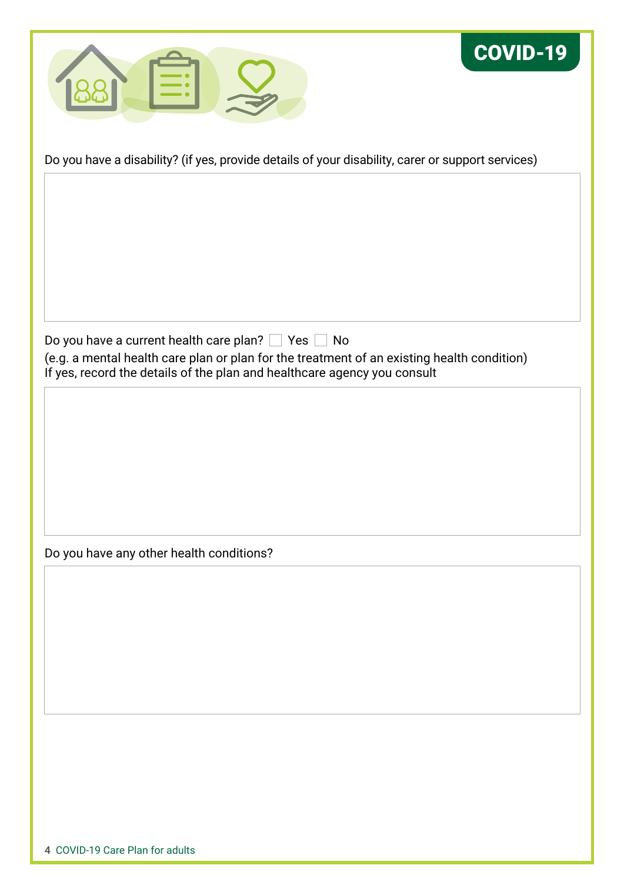



Do you have a disability? (if yes, provide details of your disability, carer or support services)

Do you have a current health care plan? Yes No (e.g. a mental health care plan or plan for the treatment of an existing health condition) If yes, record the details of the plan and healthcare agency you consult

Do you have any other health conditions?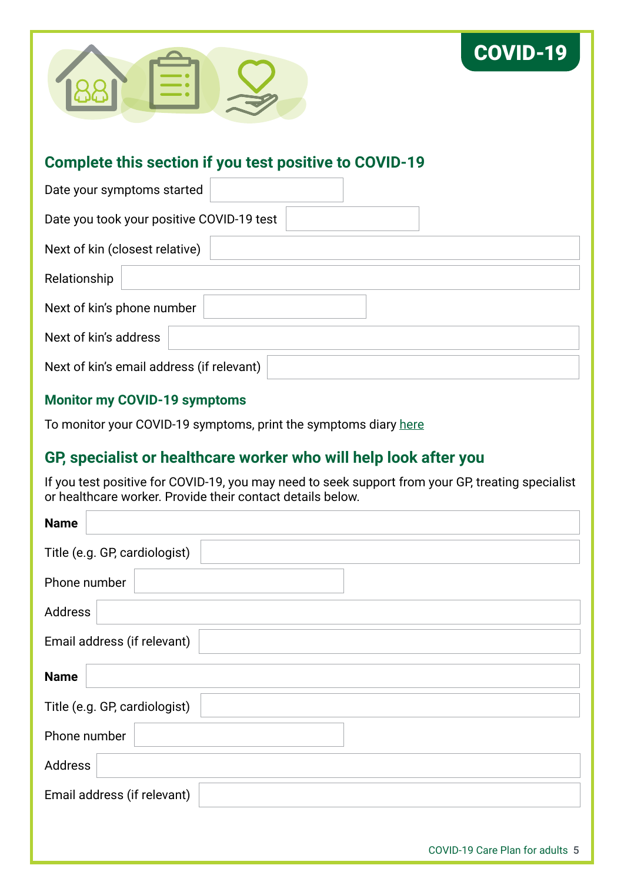

# COVID-19

### **Complete this section if you test positive to COVID-19**

| Date your symptoms started                |  |
|-------------------------------------------|--|
| Date you took your positive COVID-19 test |  |
| Next of kin (closest relative)            |  |
| Relationship                              |  |
| Next of kin's phone number                |  |
| Next of kin's address                     |  |
| Next of kin's email address (if relevant) |  |

#### **Monitor my COVID-19 symptoms**

To monitor your COVID-19 symptoms, print the symptoms diary [here](https://www.healthywa.wa.gov.au/~/media/Corp/Documents/Health-for/Infectious-disease/COVID19/COVID-19-Care-Plan-Symptoms-Diary-Interactive.pdf)

## **GP, specialist or healthcare worker who will help look after you**

If you test positive for COVID-19, you may need to seek support from your GP, treating specialist or healthcare worker. Provide their contact details below.

| <b>Name</b>                   |
|-------------------------------|
| Title (e.g. GP, cardiologist) |
| Phone number                  |
| Address                       |
| Email address (if relevant)   |
| <b>Name</b>                   |
| Title (e.g. GP, cardiologist) |
| Phone number                  |
| Address                       |
| Email address (if relevant)   |
|                               |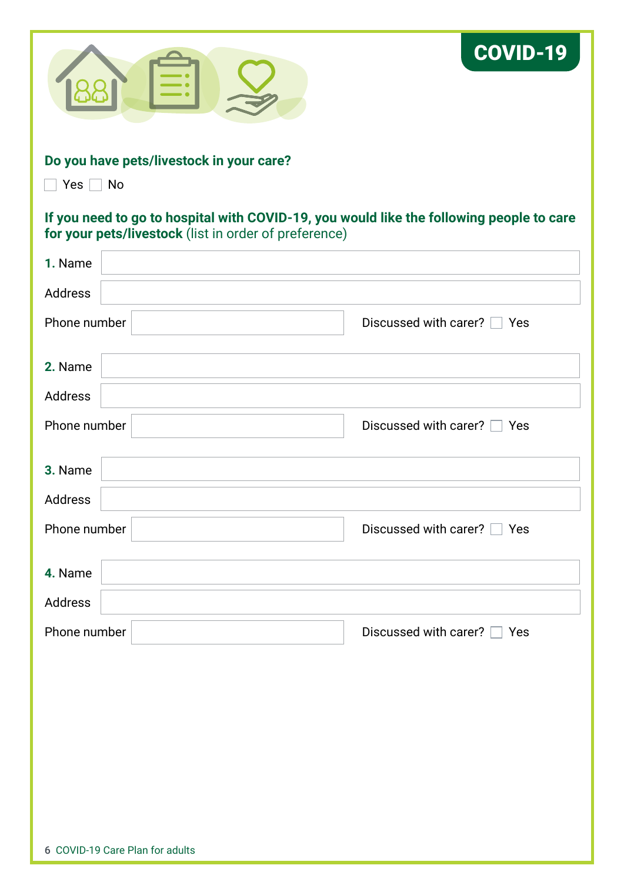|                                                                                                                                                   | <b>COVID-19</b>             |
|---------------------------------------------------------------------------------------------------------------------------------------------------|-----------------------------|
| Do you have pets/livestock in your care?<br>$Yes \tN$                                                                                             |                             |
| If you need to go to hospital with COVID-19, you would like the following people to care<br>for your pets/livestock (list in order of preference) |                             |
| 1. Name                                                                                                                                           |                             |
| <b>Address</b>                                                                                                                                    |                             |
| Phone number                                                                                                                                      | Discussed with carer? □ Yes |
| 2. Name                                                                                                                                           |                             |
| Address                                                                                                                                           |                             |
| Phone number                                                                                                                                      | Discussed with carer? □ Yes |
| 3. Name                                                                                                                                           |                             |
| Address                                                                                                                                           |                             |
| Phone number                                                                                                                                      | Discussed with carer? □ Yes |
| 4. Name                                                                                                                                           |                             |
| Address                                                                                                                                           |                             |
| Phone number                                                                                                                                      | Discussed with carer? □ Yes |
|                                                                                                                                                   |                             |
|                                                                                                                                                   |                             |
|                                                                                                                                                   |                             |
|                                                                                                                                                   |                             |
|                                                                                                                                                   |                             |
|                                                                                                                                                   |                             |
| 6 COVID-19 Care Plan for adults                                                                                                                   |                             |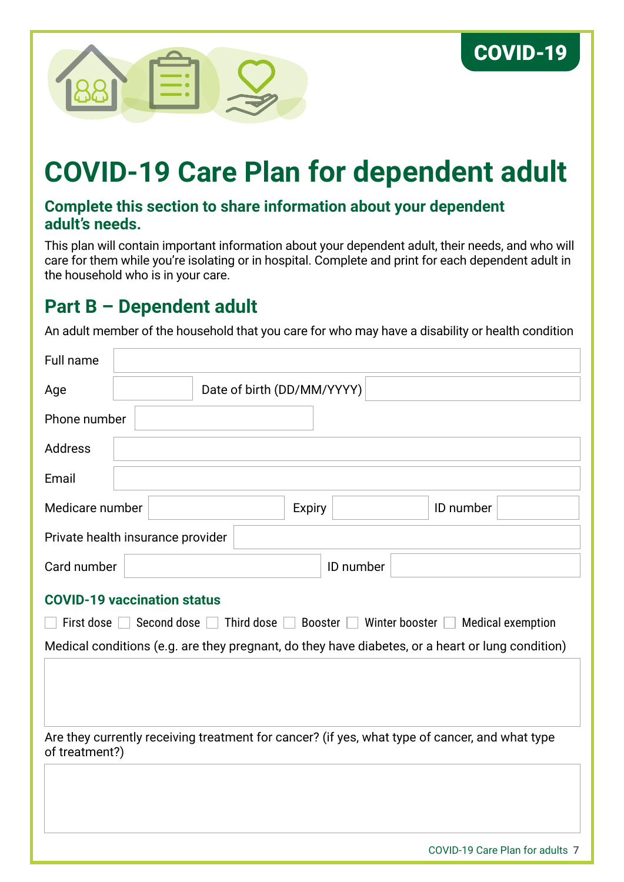

# **COVID-19 Care Plan for dependent adult**

### **Complete this section to share information about your dependent adult's needs.**

This plan will contain important information about your dependent adult, their needs, and who will care for them while you're isolating or in hospital. Complete and print for each dependent adult in the household who is in your care.

# **Part B – Dependent adult**

An adult member of the household that you care for who may have a disability or health condition

| Full name                                                                                                        |                            |                                                     |  |               |           |                                                                                                  |                          |
|------------------------------------------------------------------------------------------------------------------|----------------------------|-----------------------------------------------------|--|---------------|-----------|--------------------------------------------------------------------------------------------------|--------------------------|
| Age                                                                                                              | Date of birth (DD/MM/YYYY) |                                                     |  |               |           |                                                                                                  |                          |
| Phone number                                                                                                     |                            |                                                     |  |               |           |                                                                                                  |                          |
| <b>Address</b>                                                                                                   |                            |                                                     |  |               |           |                                                                                                  |                          |
| Email                                                                                                            |                            |                                                     |  |               |           |                                                                                                  |                          |
| Medicare number                                                                                                  |                            |                                                     |  | <b>Expiry</b> |           | ID number                                                                                        |                          |
|                                                                                                                  |                            | Private health insurance provider                   |  |               |           |                                                                                                  |                          |
| Card number                                                                                                      |                            |                                                     |  |               | ID number |                                                                                                  |                          |
|                                                                                                                  |                            | <b>COVID-19 vaccination status</b>                  |  |               |           |                                                                                                  |                          |
| First dose                                                                                                       |                            | Second dose $\Box$ Third dose $\Box$ Booster $\Box$ |  |               |           | Winter booster $\Box$                                                                            | <b>Medical exemption</b> |
|                                                                                                                  |                            |                                                     |  |               |           | Medical conditions (e.g. are they pregnant, do they have diabetes, or a heart or lung condition) |                          |
|                                                                                                                  |                            |                                                     |  |               |           |                                                                                                  |                          |
| Are they currently receiving treatment for cancer? (if yes, what type of cancer, and what type<br>of treatment?) |                            |                                                     |  |               |           |                                                                                                  |                          |
|                                                                                                                  |                            |                                                     |  |               |           |                                                                                                  |                          |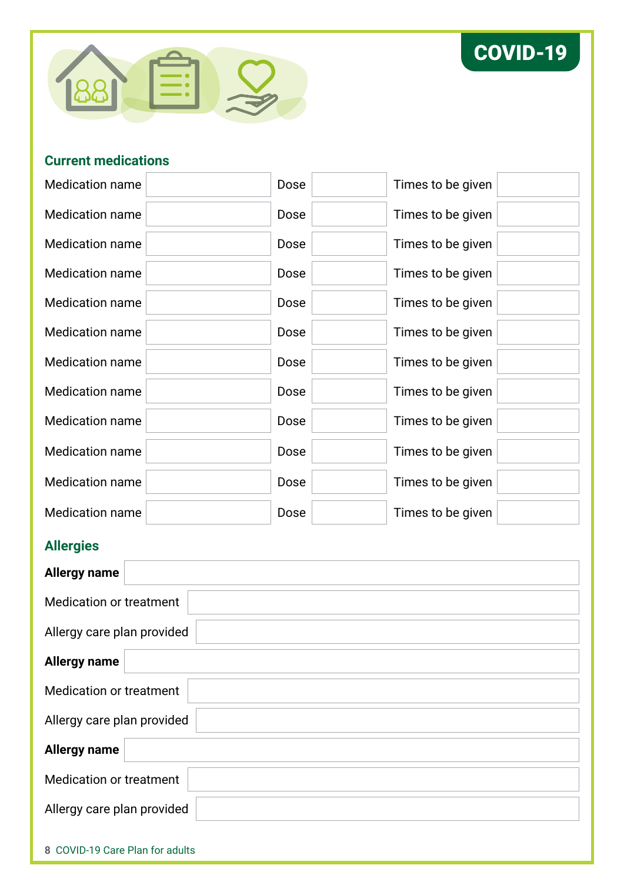



#### **Current medications**

| <b>Medication name</b> | Dose | Times to be given |
|------------------------|------|-------------------|
| <b>Medication name</b> | Dose | Times to be given |
| <b>Medication name</b> | Dose | Times to be given |
| <b>Medication name</b> | Dose | Times to be given |
| <b>Medication name</b> | Dose | Times to be given |
| <b>Medication name</b> | Dose | Times to be given |
| <b>Medication name</b> | Dose | Times to be given |
| <b>Medication name</b> | Dose | Times to be given |
| <b>Medication name</b> | Dose | Times to be given |
| <b>Medication name</b> | Dose | Times to be given |
| <b>Medication name</b> | Dose | Times to be given |
| <b>Medication name</b> | Dose | Times to be given |

## **Allergies**

| <b>Allergy name</b>             |
|---------------------------------|
| <b>Medication or treatment</b>  |
| Allergy care plan provided      |
| <b>Allergy name</b>             |
| <b>Medication or treatment</b>  |
| Allergy care plan provided      |
| <b>Allergy name</b>             |
| <b>Medication or treatment</b>  |
| Allergy care plan provided      |
| 8 COVID-19 Care Plan for adults |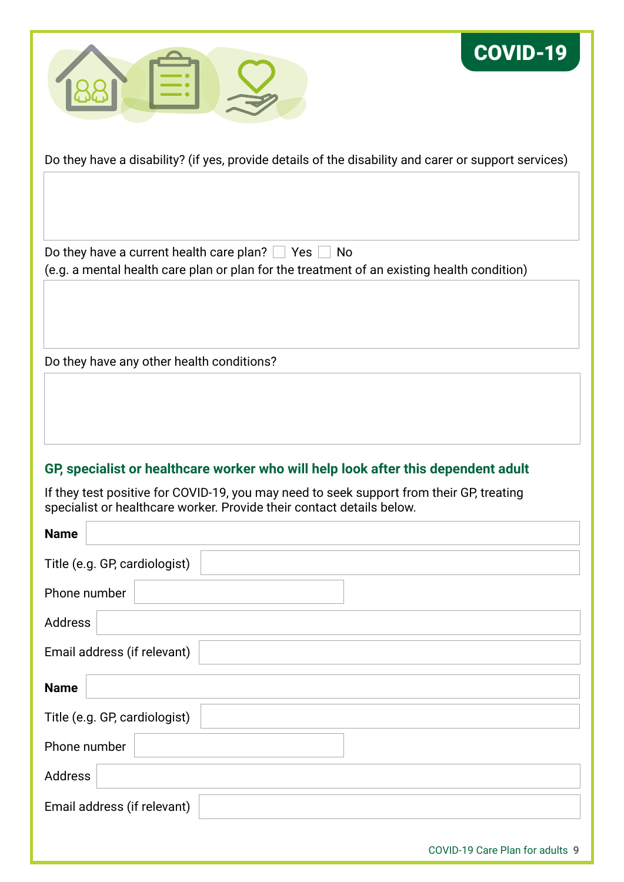

COVID-19

Do they have a disability? (if yes, provide details of the disability and carer or support services)

Do they have a current health care plan?  $\Box$  Yes  $\Box$  No (e.g. a mental health care plan or plan for the treatment of an existing health condition)

Do they have any other health conditions?

### **GP, specialist or healthcare worker who will help look after this dependent adult**

If they test positive for COVID-19, you may need to seek support from their GP, treating specialist or healthcare worker. Provide their contact details below.

| <b>Name</b>                     |
|---------------------------------|
| Title (e.g. GP, cardiologist)   |
| Phone number                    |
| Address                         |
| Email address (if relevant)     |
| <b>Name</b>                     |
| Title (e.g. GP, cardiologist)   |
| Phone number                    |
| Address                         |
| Email address (if relevant)     |
| COVID-19 Care Plan for adults 9 |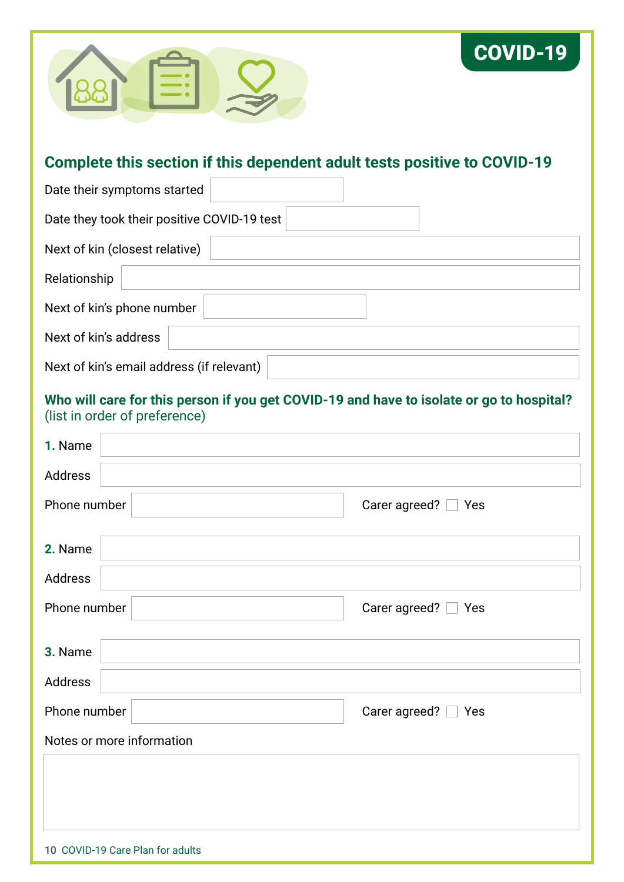

## **Complete this section if this dependent adult tests positive to COVID-19**

COVID-19

| Date their symptoms started                 |
|---------------------------------------------|
| Date they took their positive COVID-19 test |
| Next of kin (closest relative)              |
| Relationship                                |
| Next of kin's phone number                  |
| Next of kin's address                       |
| Next of kin's email address (if relevant)   |

#### **Who will care for this person if you get COVID-19 and have to isolate or go to hospital?**  (list in order of preference)

| 1. Name                          |                          |
|----------------------------------|--------------------------|
| Address                          |                          |
| Phone number                     | Carer agreed? $\Box$ Yes |
|                                  |                          |
| 2. Name                          |                          |
| Address                          |                          |
| Phone number                     | Carer agreed? $\Box$ Yes |
| 3. Name                          |                          |
| Address                          |                          |
| Phone number                     | Carer agreed? $\Box$ Yes |
| Notes or more information        |                          |
|                                  |                          |
|                                  |                          |
|                                  |                          |
| 10 COVID-19 Care Plan for adults |                          |